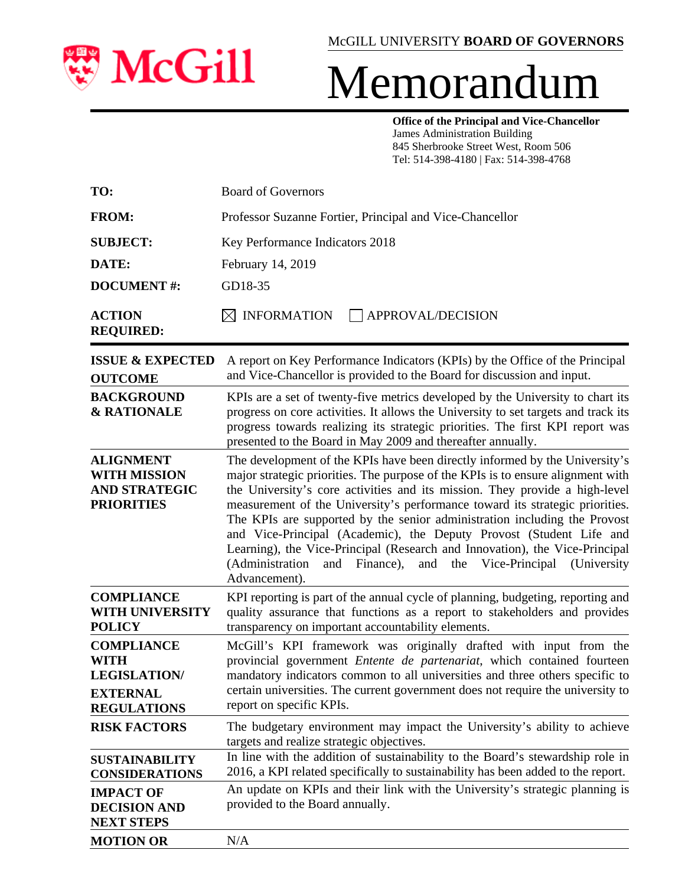

## Memorandum

**Office of the Principal and Vice-Chancellor** James Administration Building 845 Sherbrooke Street West, Room 506 Tel: 514-398-4180 | Fax: 514-398-4768

| TO:                                                                                       | <b>Board of Governors</b>                                                                                                                                                                                                                                                                                                                                                                                                                                                                                                                                                                                                                                         |  |  |  |  |  |
|-------------------------------------------------------------------------------------------|-------------------------------------------------------------------------------------------------------------------------------------------------------------------------------------------------------------------------------------------------------------------------------------------------------------------------------------------------------------------------------------------------------------------------------------------------------------------------------------------------------------------------------------------------------------------------------------------------------------------------------------------------------------------|--|--|--|--|--|
| <b>FROM:</b>                                                                              | Professor Suzanne Fortier, Principal and Vice-Chancellor                                                                                                                                                                                                                                                                                                                                                                                                                                                                                                                                                                                                          |  |  |  |  |  |
| <b>SUBJECT:</b>                                                                           | Key Performance Indicators 2018                                                                                                                                                                                                                                                                                                                                                                                                                                                                                                                                                                                                                                   |  |  |  |  |  |
| DATE:                                                                                     | February 14, 2019                                                                                                                                                                                                                                                                                                                                                                                                                                                                                                                                                                                                                                                 |  |  |  |  |  |
| <b>DOCUMENT#:</b>                                                                         | GD18-35                                                                                                                                                                                                                                                                                                                                                                                                                                                                                                                                                                                                                                                           |  |  |  |  |  |
| <b>ACTION</b><br><b>REQUIRED:</b>                                                         | $\bowtie$ INFORMATION<br>APPROVAL/DECISION                                                                                                                                                                                                                                                                                                                                                                                                                                                                                                                                                                                                                        |  |  |  |  |  |
| <b>ISSUE &amp; EXPECTED</b><br><b>OUTCOME</b>                                             | A report on Key Performance Indicators (KPIs) by the Office of the Principal<br>and Vice-Chancellor is provided to the Board for discussion and input.                                                                                                                                                                                                                                                                                                                                                                                                                                                                                                            |  |  |  |  |  |
| <b>BACKGROUND</b><br><b>&amp; RATIONALE</b>                                               | KPIs are a set of twenty-five metrics developed by the University to chart its<br>progress on core activities. It allows the University to set targets and track its<br>progress towards realizing its strategic priorities. The first KPI report was<br>presented to the Board in May 2009 and thereafter annually.                                                                                                                                                                                                                                                                                                                                              |  |  |  |  |  |
| <b>ALIGNMENT</b><br><b>WITH MISSION</b><br><b>AND STRATEGIC</b><br><b>PRIORITIES</b>      | The development of the KPIs have been directly informed by the University's<br>major strategic priorities. The purpose of the KPIs is to ensure alignment with<br>the University's core activities and its mission. They provide a high-level<br>measurement of the University's performance toward its strategic priorities.<br>The KPIs are supported by the senior administration including the Provost<br>and Vice-Principal (Academic), the Deputy Provost (Student Life and<br>Learning), the Vice-Principal (Research and Innovation), the Vice-Principal<br>(Administration<br>and Finance),<br>Vice-Principal (University<br>and<br>the<br>Advancement). |  |  |  |  |  |
| <b>COMPLIANCE</b><br><b>WITH UNIVERSITY</b><br><b>POLICY</b>                              | KPI reporting is part of the annual cycle of planning, budgeting, reporting and<br>quality assurance that functions as a report to stakeholders and provides<br>transparency on important accountability elements.                                                                                                                                                                                                                                                                                                                                                                                                                                                |  |  |  |  |  |
| <b>COMPLIANCE</b><br>WITH<br><b>LEGISLATION/</b><br><b>EXTERNAL</b><br><b>REGULATIONS</b> | McGill's KPI framework was originally drafted with input from the<br>provincial government Entente de partenariat, which contained fourteen<br>mandatory indicators common to all universities and three others specific to<br>certain universities. The current government does not require the university to<br>report on specific KPIs.                                                                                                                                                                                                                                                                                                                        |  |  |  |  |  |
| <b>RISK FACTORS</b>                                                                       | The budgetary environment may impact the University's ability to achieve<br>targets and realize strategic objectives.                                                                                                                                                                                                                                                                                                                                                                                                                                                                                                                                             |  |  |  |  |  |
| <b>SUSTAINABILITY</b><br><b>CONSIDERATIONS</b>                                            | In line with the addition of sustainability to the Board's stewardship role in<br>2016, a KPI related specifically to sustainability has been added to the report.                                                                                                                                                                                                                                                                                                                                                                                                                                                                                                |  |  |  |  |  |
| <b>IMPACT OF</b><br><b>DECISION AND</b><br><b>NEXT STEPS</b>                              | An update on KPIs and their link with the University's strategic planning is<br>provided to the Board annually.                                                                                                                                                                                                                                                                                                                                                                                                                                                                                                                                                   |  |  |  |  |  |
| <b>MOTION OR</b>                                                                          | N/A                                                                                                                                                                                                                                                                                                                                                                                                                                                                                                                                                                                                                                                               |  |  |  |  |  |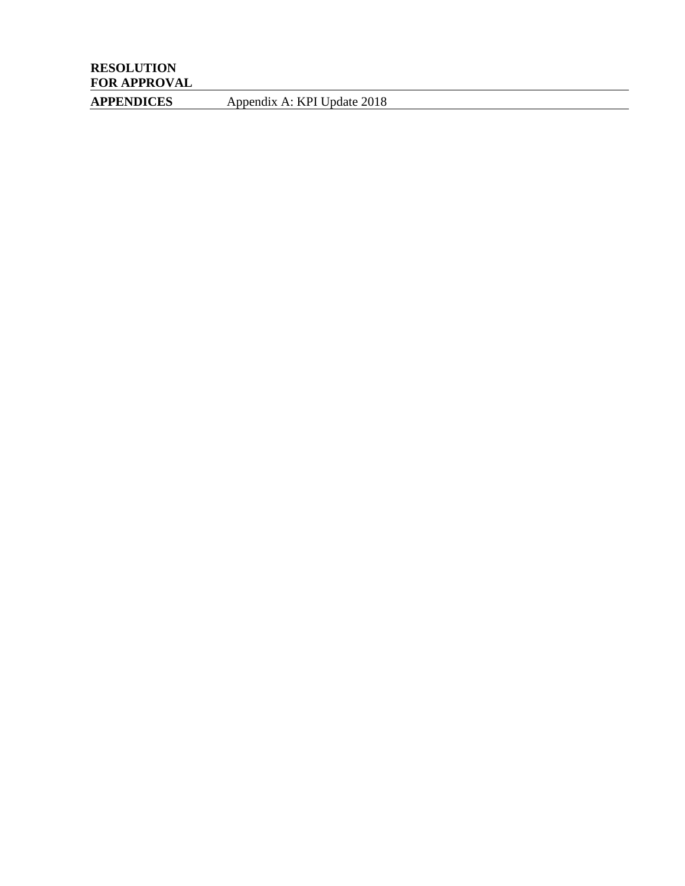**APPENDICES** Appendix A: KPI Update 2018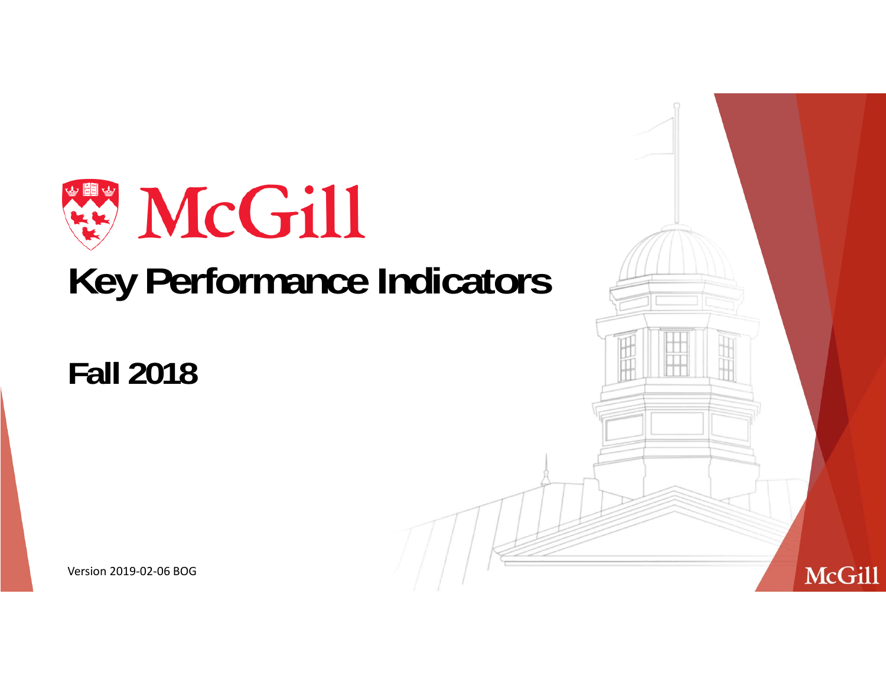

## **Fall 2018**

Version 2019‐02‐06 BOG

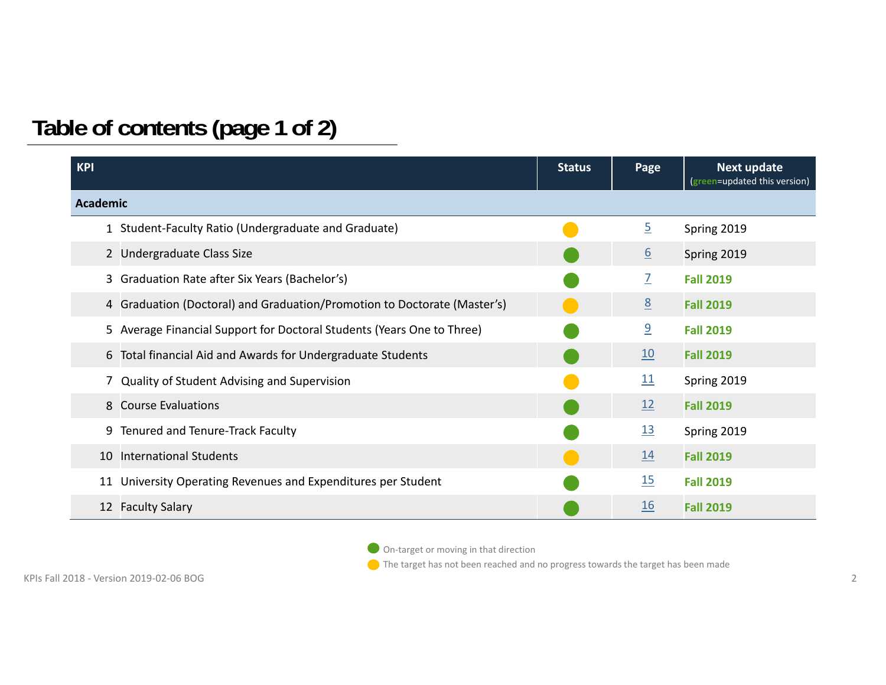## **Table of contents (page 1 of 2)**

| <b>KPI</b>      |                                                                          | <b>Status</b> | <b>Next update</b><br>Page<br>(green=updated this version) |                  |
|-----------------|--------------------------------------------------------------------------|---------------|------------------------------------------------------------|------------------|
| <b>Academic</b> |                                                                          |               |                                                            |                  |
|                 | 1 Student-Faculty Ratio (Undergraduate and Graduate)                     |               | $\overline{2}$                                             | Spring 2019      |
|                 | 2 Undergraduate Class Size                                               |               | $6 \overline{6}$                                           | Spring 2019      |
|                 | 3 Graduation Rate after Six Years (Bachelor's)                           |               | $\overline{Z}$                                             | <b>Fall 2019</b> |
|                 | 4 Graduation (Doctoral) and Graduation/Promotion to Doctorate (Master's) |               | 8                                                          | <b>Fall 2019</b> |
|                 | 5 Average Financial Support for Doctoral Students (Years One to Three)   |               | $\overline{9}$                                             | <b>Fall 2019</b> |
|                 | 6 Total financial Aid and Awards for Undergraduate Students              |               | 10                                                         | <b>Fall 2019</b> |
|                 | 7 Quality of Student Advising and Supervision                            |               | 11                                                         | Spring 2019      |
|                 | 8 Course Evaluations                                                     |               | 12                                                         | <b>Fall 2019</b> |
|                 | 9 Tenured and Tenure-Track Faculty                                       |               | 13                                                         | Spring 2019      |
|                 | 10 International Students                                                |               | 14                                                         | <b>Fall 2019</b> |
| 11              | University Operating Revenues and Expenditures per Student               |               | <u>15</u>                                                  | <b>Fall 2019</b> |
|                 | 12 Faculty Salary                                                        |               | <u>16</u>                                                  | <b>Fall 2019</b> |

On-target or moving in that direction

The target has not been reached and no progress towards the target has been made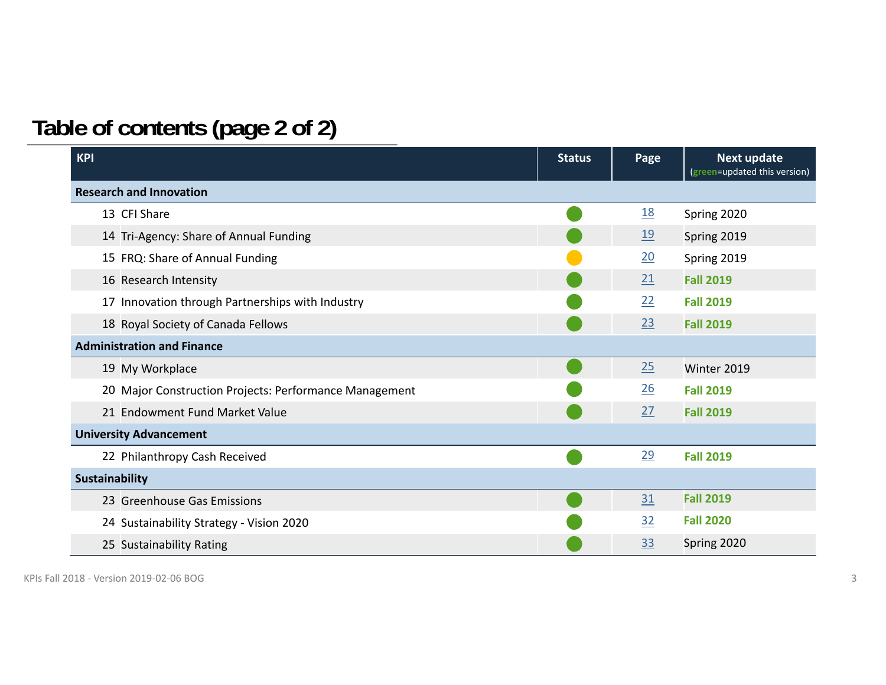## **Table of contents (page 2 of 2)**

| <b>KPI</b>                                             | <b>Status</b> | Page             | <b>Next update</b><br>(green=updated this version) |
|--------------------------------------------------------|---------------|------------------|----------------------------------------------------|
| <b>Research and Innovation</b>                         |               |                  |                                                    |
| 13 CFI Share                                           |               | <u>18</u>        | Spring 2020                                        |
| 14 Tri-Agency: Share of Annual Funding                 |               | $\underline{19}$ | Spring 2019                                        |
| 15 FRQ: Share of Annual Funding                        |               | <u>20</u>        | Spring 2019                                        |
| 16 Research Intensity                                  |               | 21               | <b>Fall 2019</b>                                   |
| 17 Innovation through Partnerships with Industry       |               | 22               | <b>Fall 2019</b>                                   |
| 18 Royal Society of Canada Fellows                     |               | 23               | <b>Fall 2019</b>                                   |
| <b>Administration and Finance</b>                      |               |                  |                                                    |
| 19 My Workplace                                        |               | 25               | Winter 2019                                        |
| 20 Major Construction Projects: Performance Management |               | $\underline{26}$ | <b>Fall 2019</b>                                   |
| 21 Endowment Fund Market Value                         |               | 27               | <b>Fall 2019</b>                                   |
| <b>University Advancement</b>                          |               |                  |                                                    |
| 22 Philanthropy Cash Received                          |               | 29               | <b>Fall 2019</b>                                   |
| <b>Sustainability</b>                                  |               |                  |                                                    |
| 23 Greenhouse Gas Emissions                            |               | 31               | <b>Fall 2019</b>                                   |
| 24 Sustainability Strategy - Vision 2020               |               | 32               | <b>Fall 2020</b>                                   |
| 25 Sustainability Rating                               |               | 33               | Spring 2020                                        |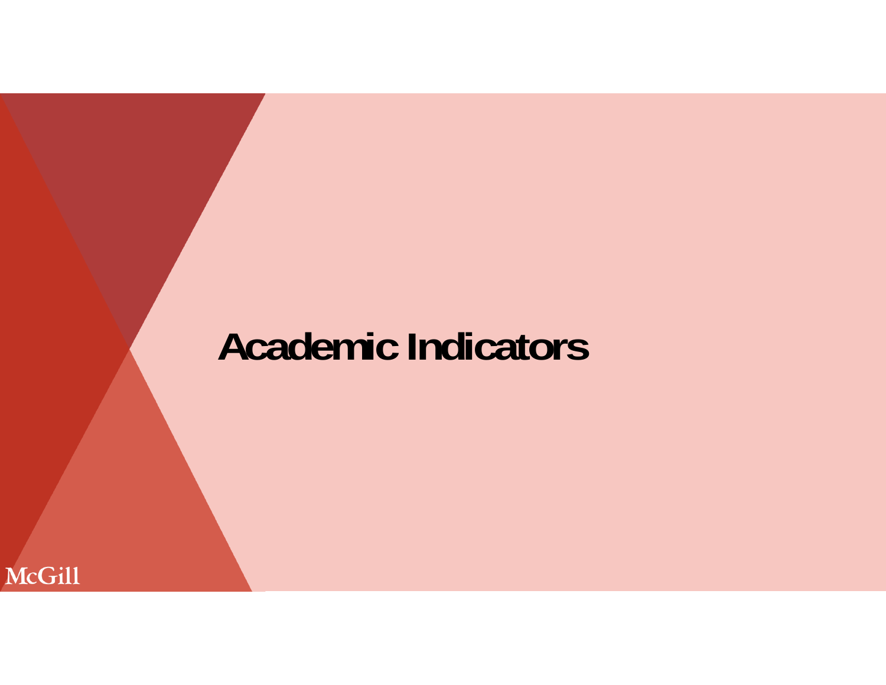## **Academic Indicators**

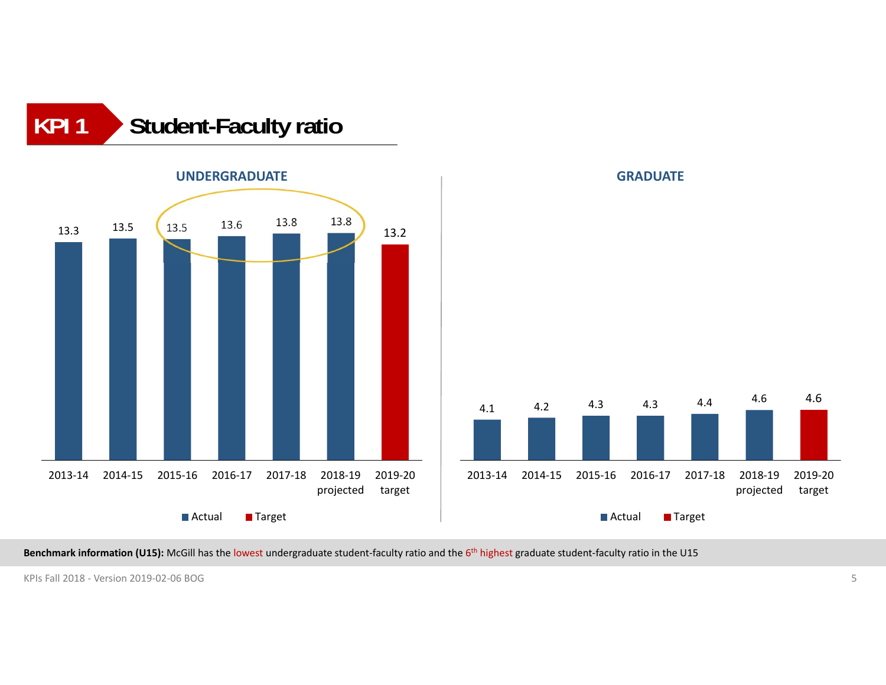



**Benchmark information (U15):** McGill has the lowest undergraduate student‐faculty ratio and the 6th highest graduate student‐faculty ratio in the U15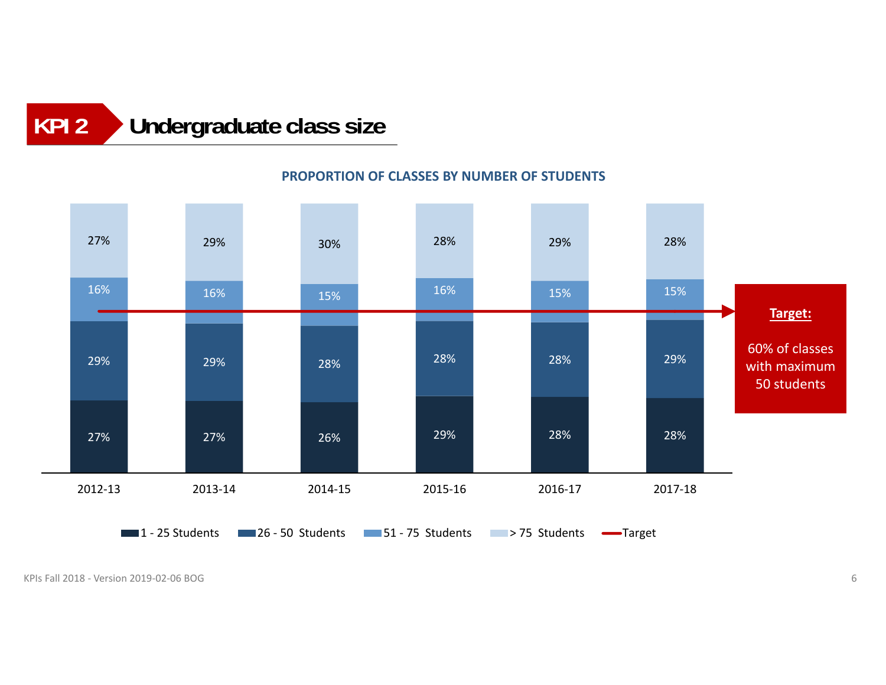### **Undergraduate class size KPI 2**

### 27% 27% 26% 29% 28% 28% 29% 29% 28% 28% 28% 29% 16% 16% 15% $\%$  16% 15% 15% 15% 15% 27% 29% 30% 28% 29% 28% 2012‐13 2013‐14 2014‐15 2015‐16 2016‐17 2017‐181 - 25 Students 1 - 26 - 50 Students 1 - 75 Students - 75 Students - Target **Target:** 60% of classes with maximum 50 students

### **PROPORTION OF CLASSES BY NUMBER OF STUDENTS**

KPIs Fall 2018 ‐ Version 2019‐02‐06 BOGG and the contract of the contract of the contract of the contract of the contract of the contract of the contract of the contract of the contract of the contract of the contract of the contract of the contract of the cont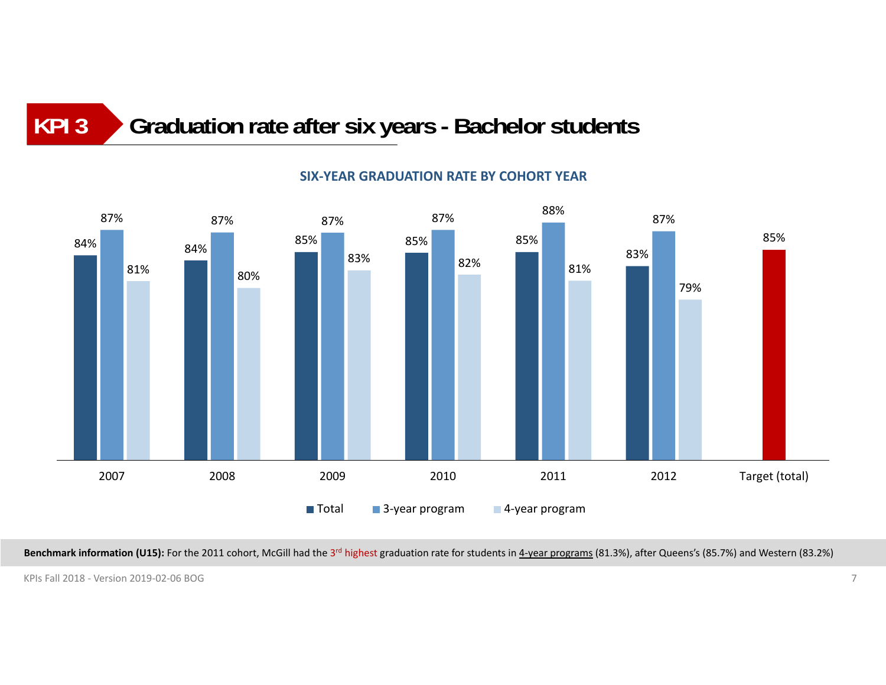### **Graduation rate after six years - Bachelor students KPI 3**



### **SIX‐YEAR GRADUATION RATE BY COHORT YEAR**

Benchmark information (U15): For the 2011 cohort, McGill had the 3<sup>rd</sup> highest graduation rate for students in 4-year programs (81.3%), after Queens's (85.7%) and Western (83.2%)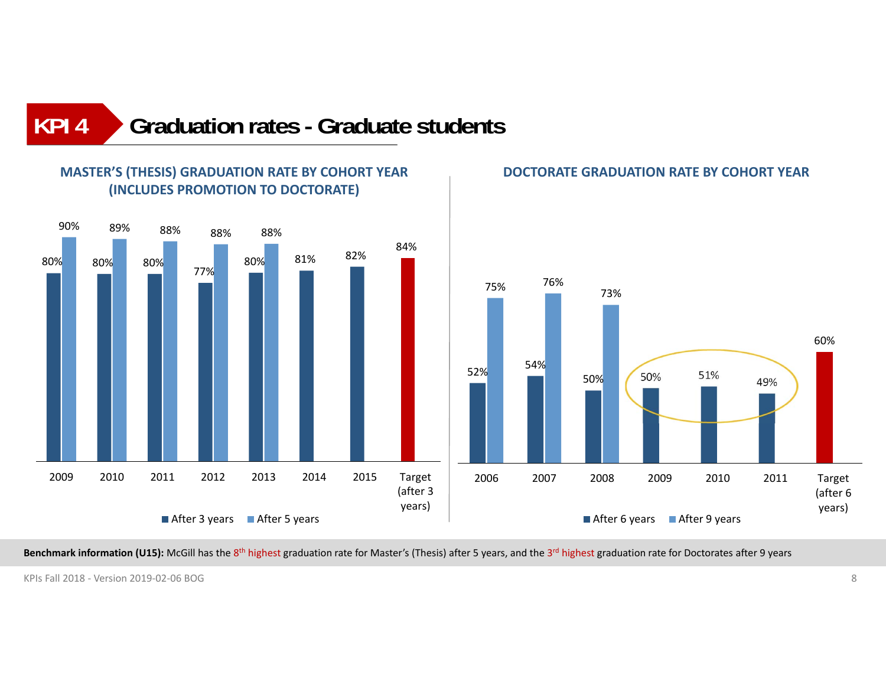### **Graduation rates - Graduate studentsKPI 4**



### **MASTER'S (THESIS) GRADUATION RATE BY COHORT YEAR (INCLUDES PROMOTION TO DOCTORATE)**

### **DOCTORATE GRADUATION RATE BY COHORT YEAR**



Benchmark information (U15): McGill has the 8<sup>th</sup> highest graduation rate for Master's (Thesis) after 5 years, and the 3<sup>rd</sup> highest graduation rate for Doctorates after 9 years

KPIs Fall 2018 ‐ Version 2019‐02‐06 BOGG and the second second second second second second second second second second second second second second se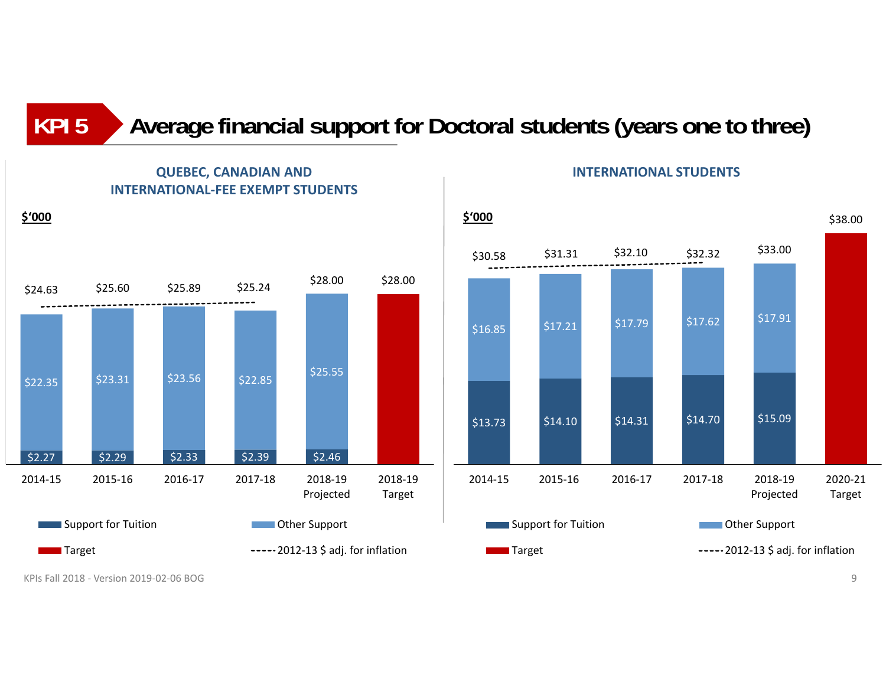### **Average financial support for Doctoral students (years one to three) KPI 5**



### **QUEBEC, CANADIAN AND INTERNATIONAL‐FEE EXEMPT STUDENTS**

**INTERNATIONAL STUDENTS**



KPIs Fall 2018 ‐ Version 2019‐02‐06 BOGG Andreas States and the second states of the second states of the second states of the second states of the s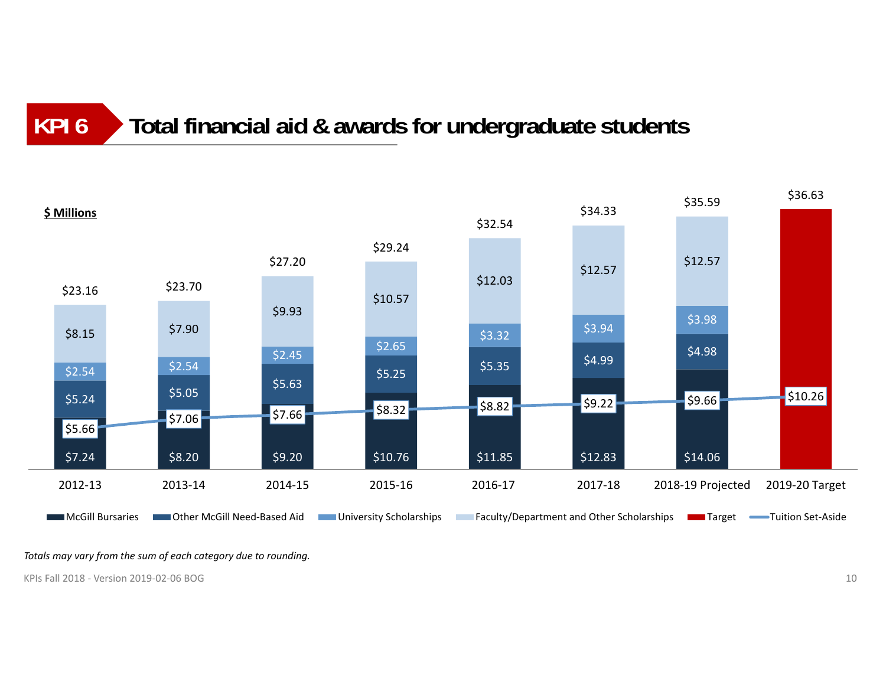### **Total financial aid & awards for undergraduate students KPI 6**



*Totals may vary from the sum of each category due to rounding.*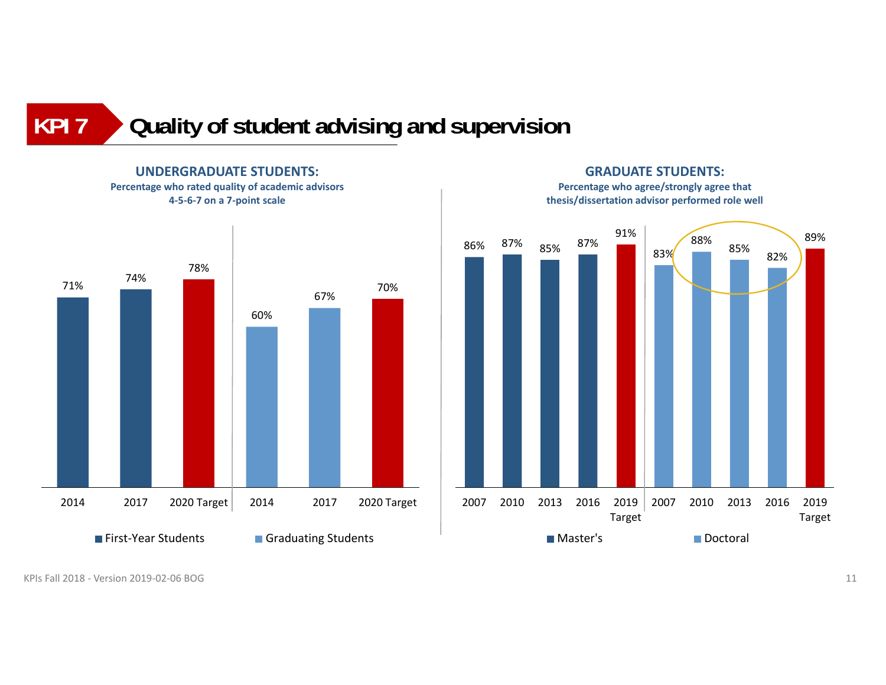**Quality of student advising and supervision KPI 7**



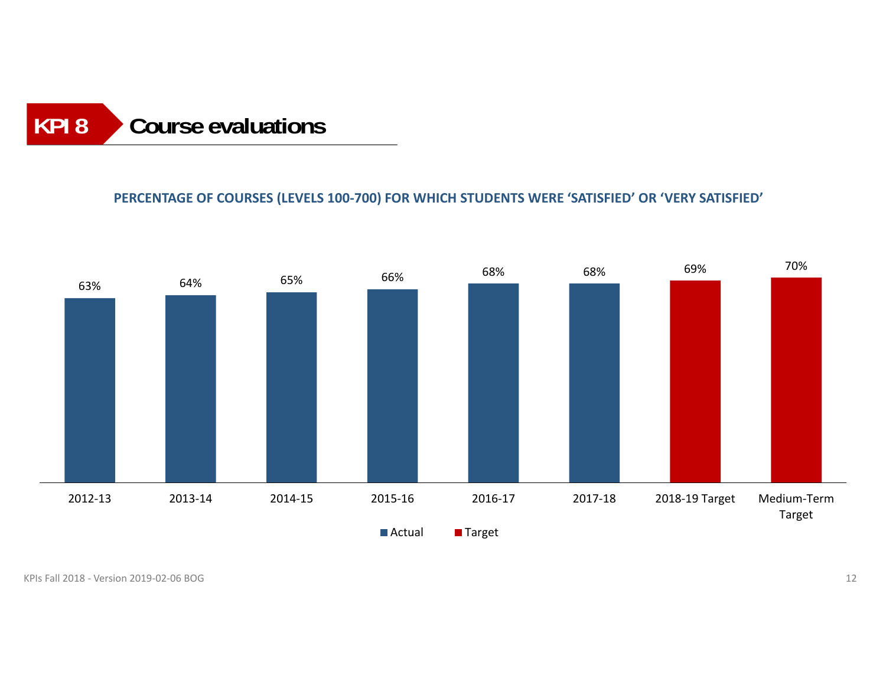### **Course evaluations KPI 8**

### **PERCENTAGE OF COURSES (LEVELS 100‐700) FOR WHICH STUDENTS WERE 'SATISFIED' OR 'VERY SATISFIED'**

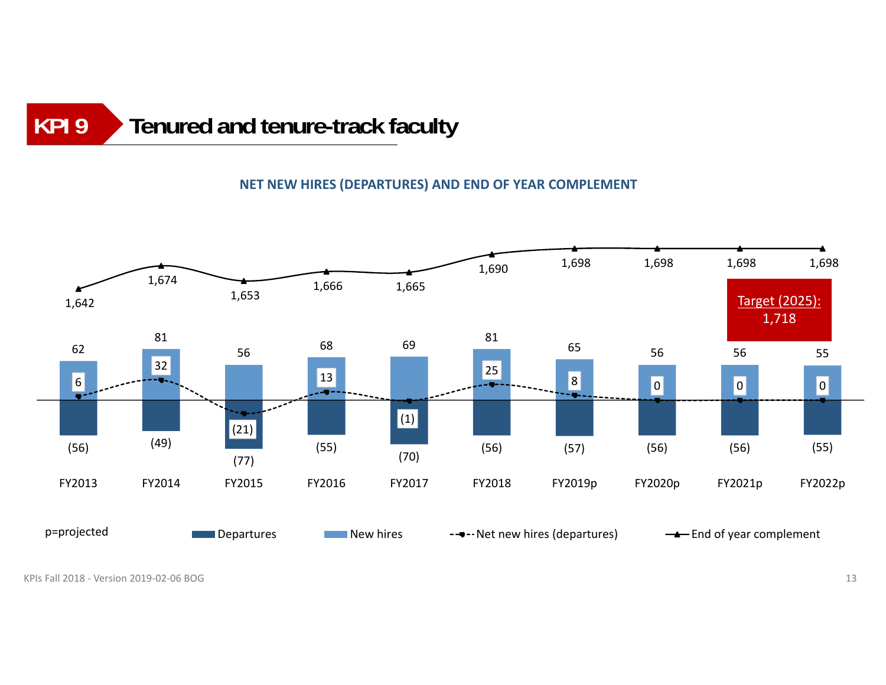### **Tenured and tenure-track faculty KPI 9**

### **NET NEW HIRES (DEPARTURES) AND END OF YEAR COMPLEMENT**

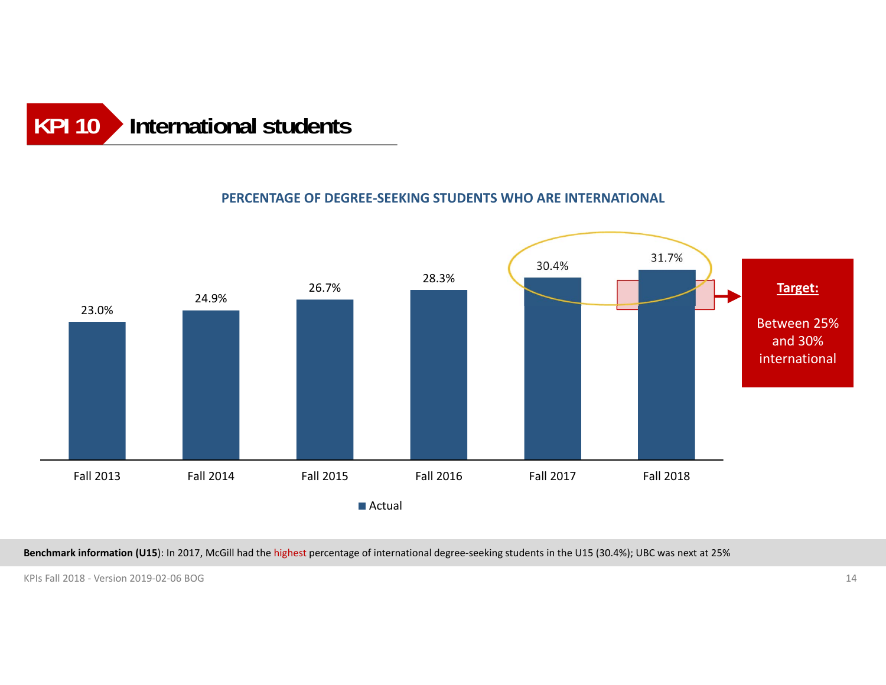

### **PERCENTAGE OF DEGREE‐SEEKING STUDENTS WHO ARE INTERNATIONAL**



**Benchmark information (U15**): In 2017, McGill had the highest percentage of international degree‐seeking students in the U15 (30.4%); UBC was next at 25%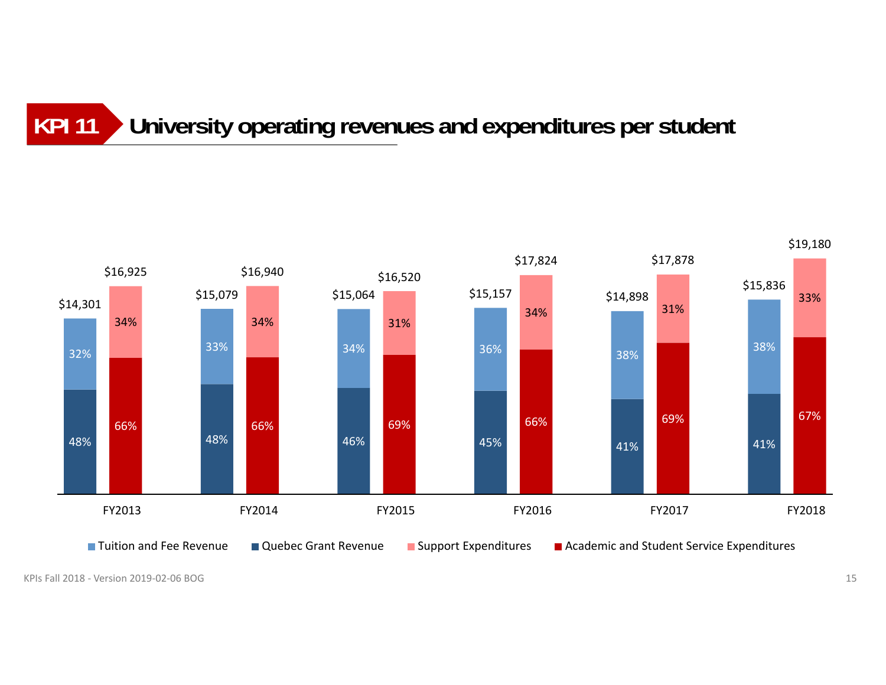### **University operating revenues and expenditures per student KPI 11**

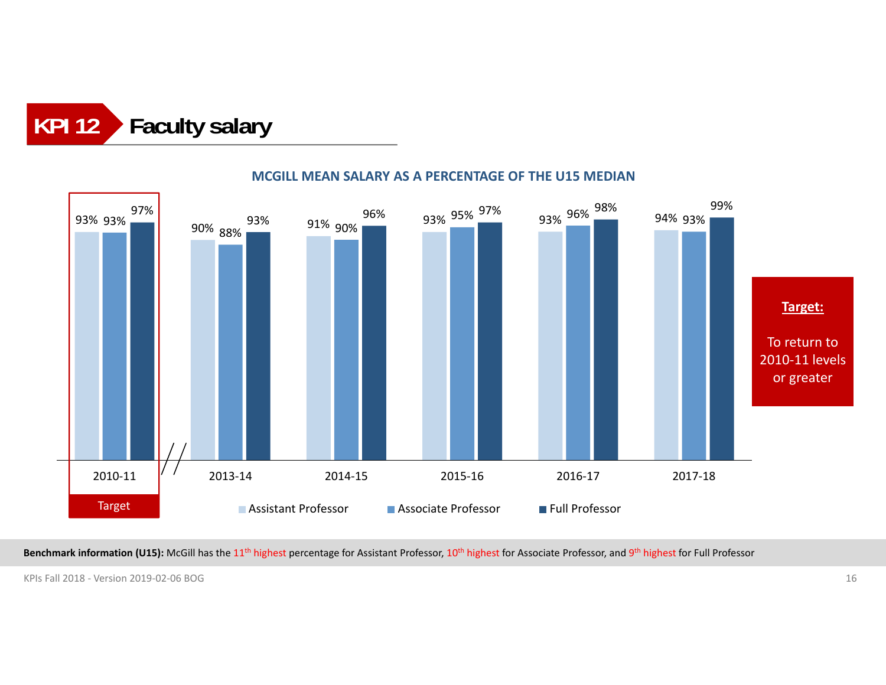



### **MCGILL MEAN SALARY AS A PERCENTAGE OF THE U15 MEDIAN**

**Benchmark information (U15):** McGill has the 11<sup>th</sup> highest percentage for Assistant Professor, 10<sup>th</sup> highest for Associate Professor, and 9<sup>th</sup> highest for Full Professor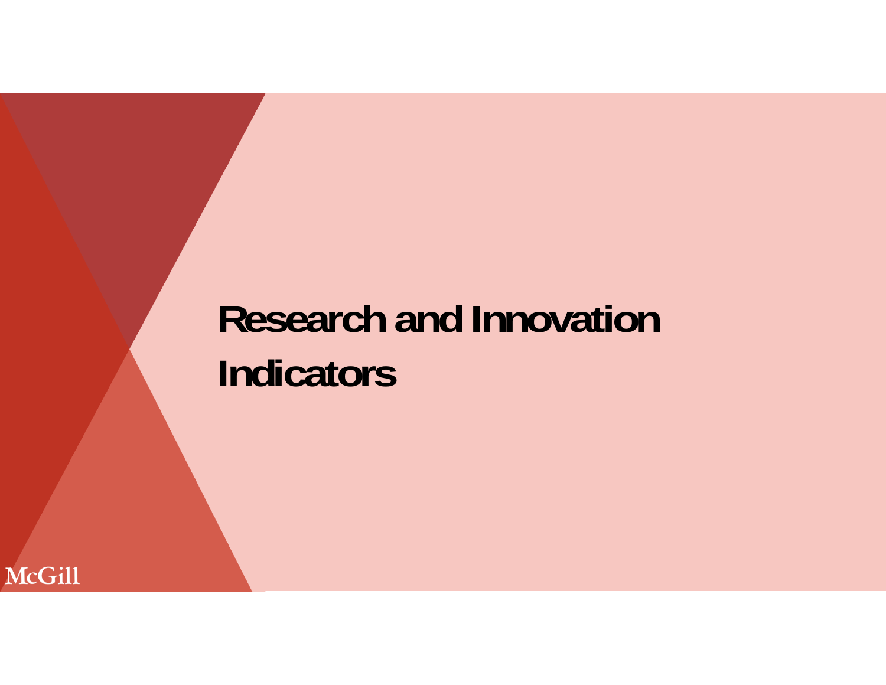# **Research and Innovation Indicators**

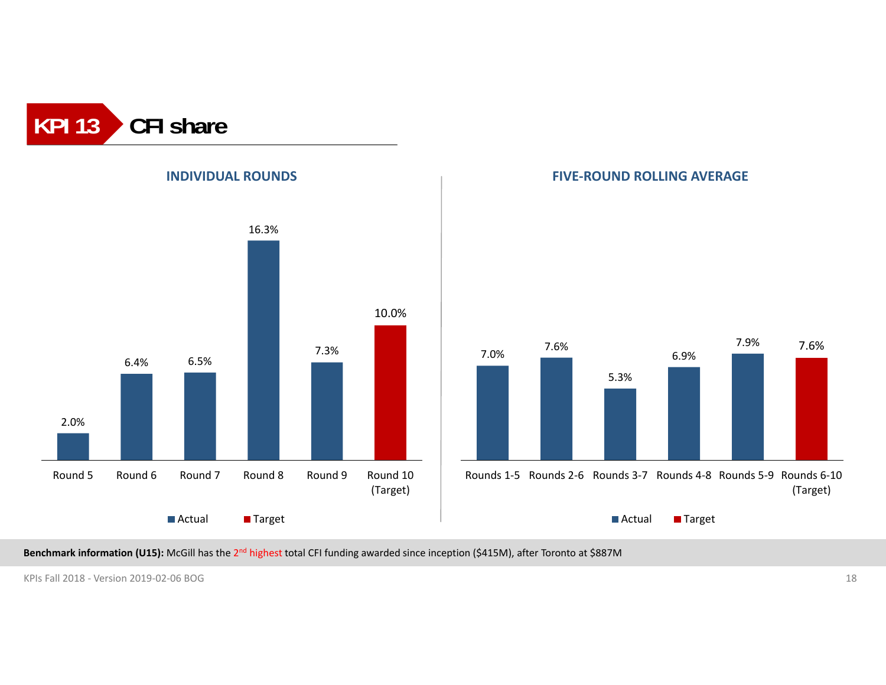





**Benchmark information (U15):** McGill has the 2n<sup>d</sup> highest total CFI funding awarded since inception (\$415M), after Toronto at \$887M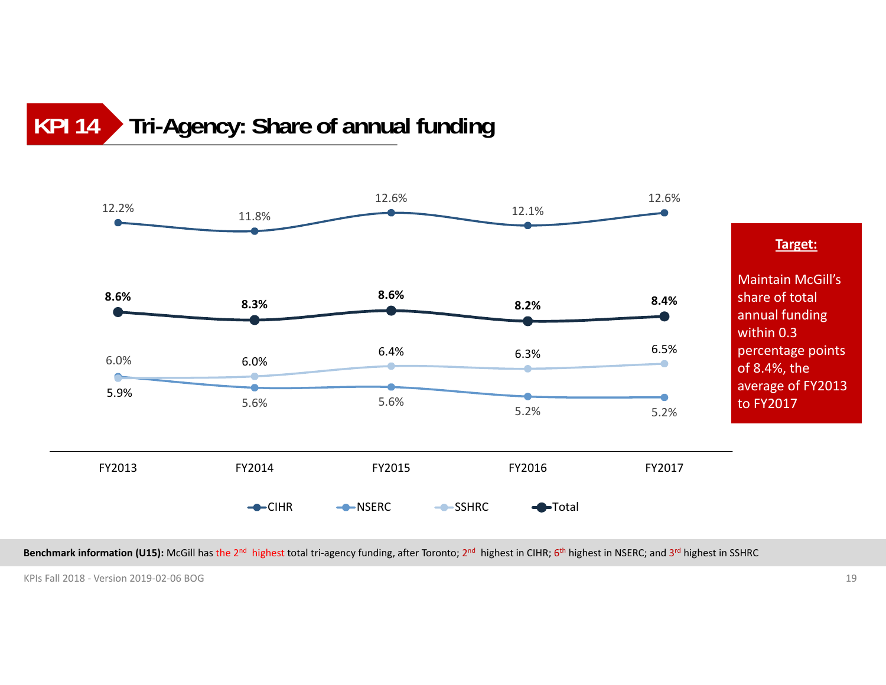### **Tri-Agency: Share of annual funding KPI 14**



**Benchmark information (U15):** McGill has the 2<sup>nd</sup> highest total tri-agency funding, after Toronto; 2<sup>nd</sup> highest in CIHR; 6<sup>th</sup> highest in NSERC; and 3<sup>rd</sup> highest in SSHRC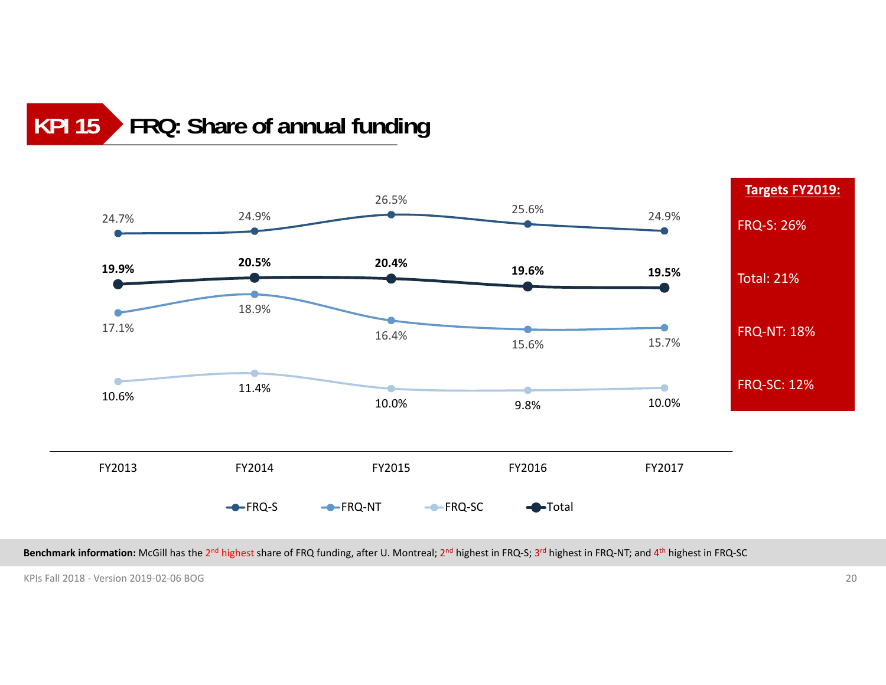### **FRQ: Share of annual funding KPI 15**



**Benchmark information:** McGill has the 2n<sup>d</sup> highest share of FRQ funding, after U. Montreal; 2n<sup>d</sup> highest in FRQ‐S; 3r<sup>d</sup> highest in FRQ‐NT; and 4th highest in FRQ‐SC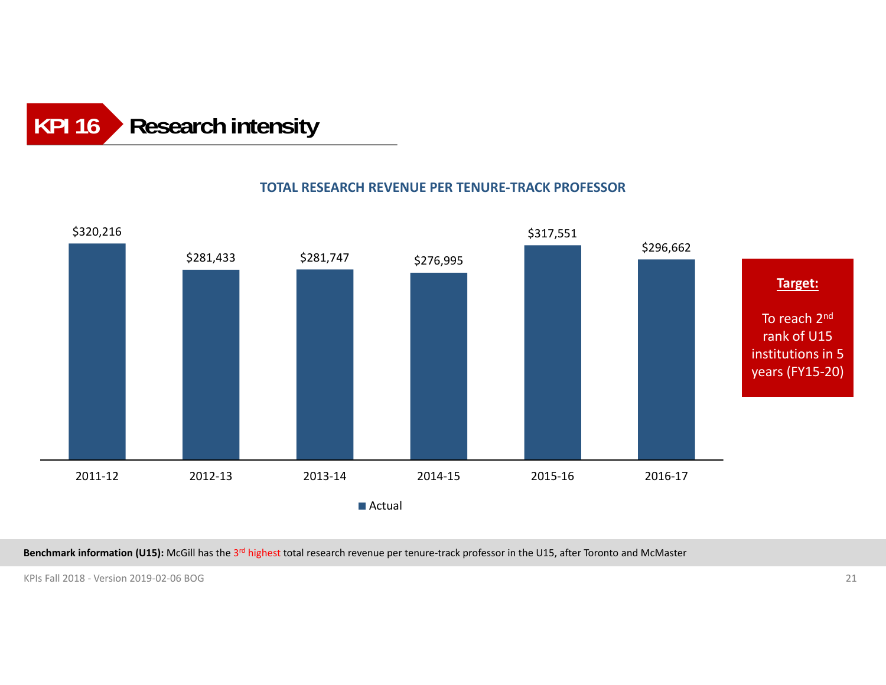### **Research intensity KPI 16**

### \$320,216 \$281,433 \$281,747 \$276,995 \$317,551 \$296,662 2011‐12 2012‐13 2013‐14 2014‐15 2015‐16 2016‐172016-17 **Actual Target:** To reach 2<sup>nd</sup> rank of U15 institutions in 5 years (FY15‐20)

### **TOTAL RESEARCH REVENUE PER TENURE‐TRACK PROFESSOR**

**Benchmark information (U15):** McGill has the 3r<sup>d</sup> highest total research revenue per tenure‐track professor in the U15, after Toronto and McMaster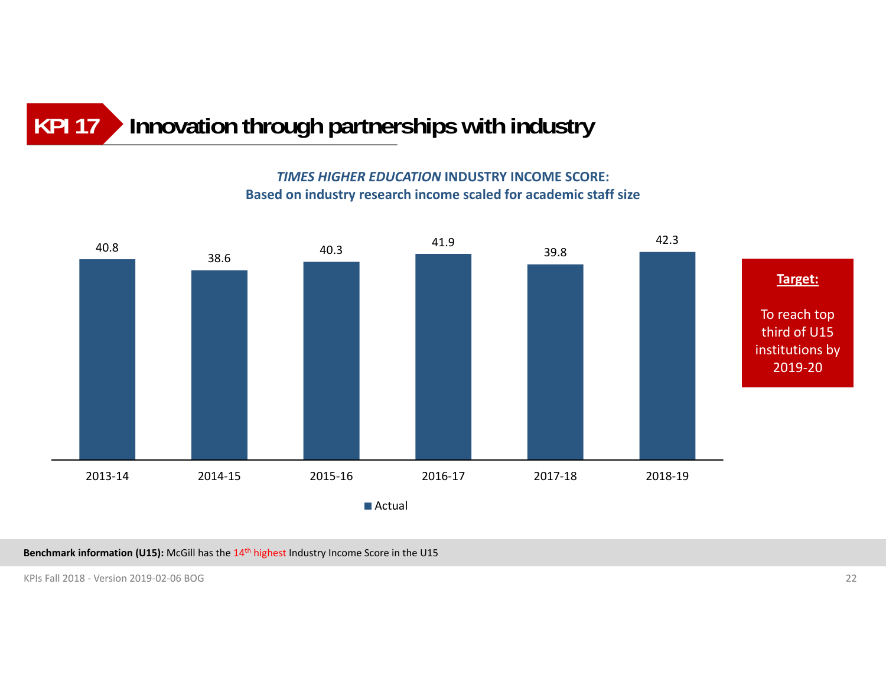### **Innovation through partnerships with industry KPI 17**

*TIMES HIGHER EDUCATION* **INDUSTRY INCOME SCORE: Based on industry research income scaled for academic staff size**



**Benchmark information (U15):** McGill has the 14th highest Industry Income Score in the U15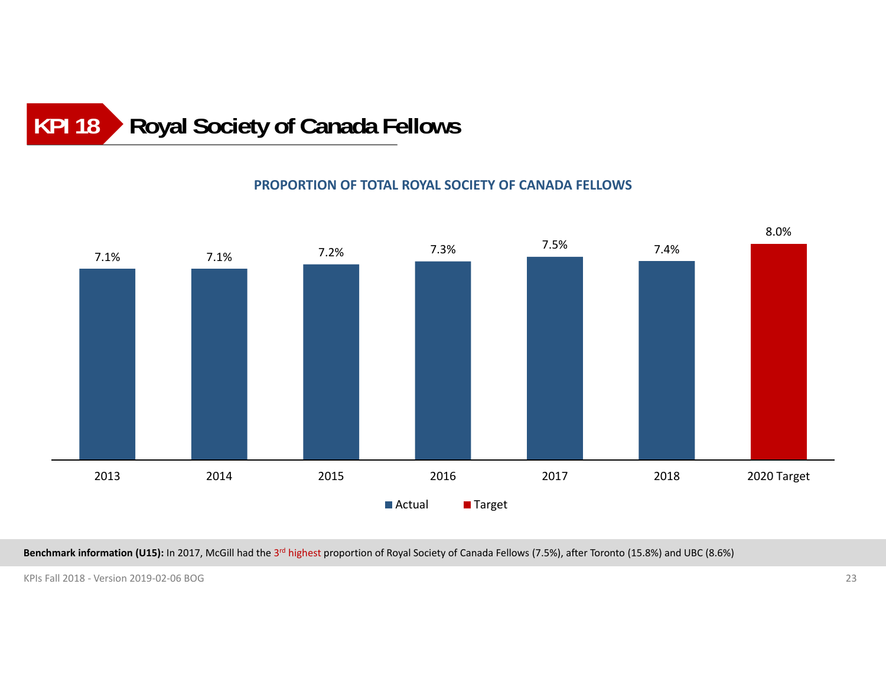### **Royal Society of Canada Fellows KPI 18**

### **PROPORTION OF TOTAL ROYAL SOCIETY OF CANADA FELLOWS**



**Benchmark information (U15):** In 2017, McGill had the 3r<sup>d</sup> highest proportion of Royal Society of Canada Fellows (7.5%), after Toronto (15.8%) and UBC (8.6%)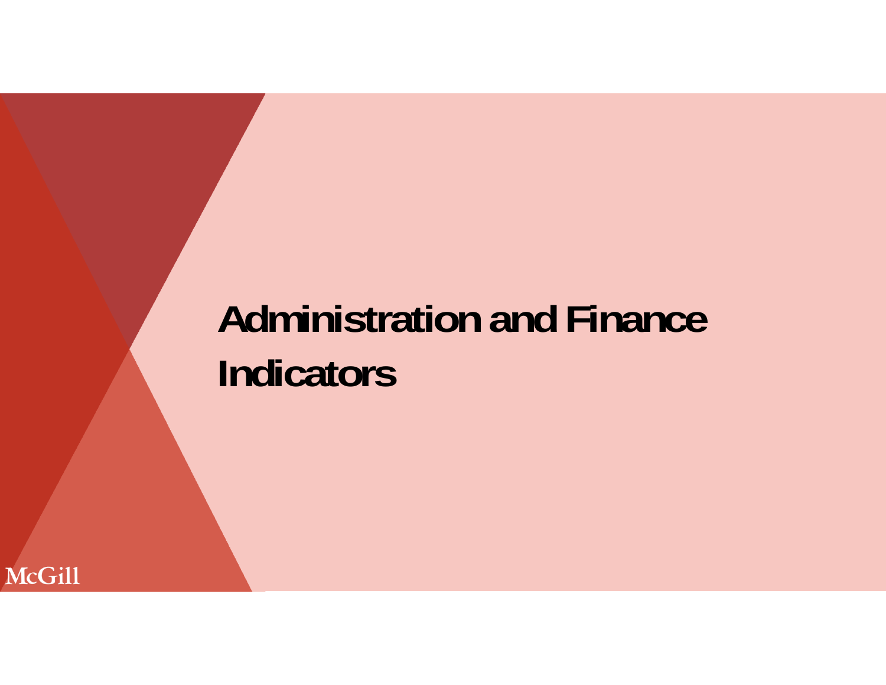# **Administration and Finance Indicators**

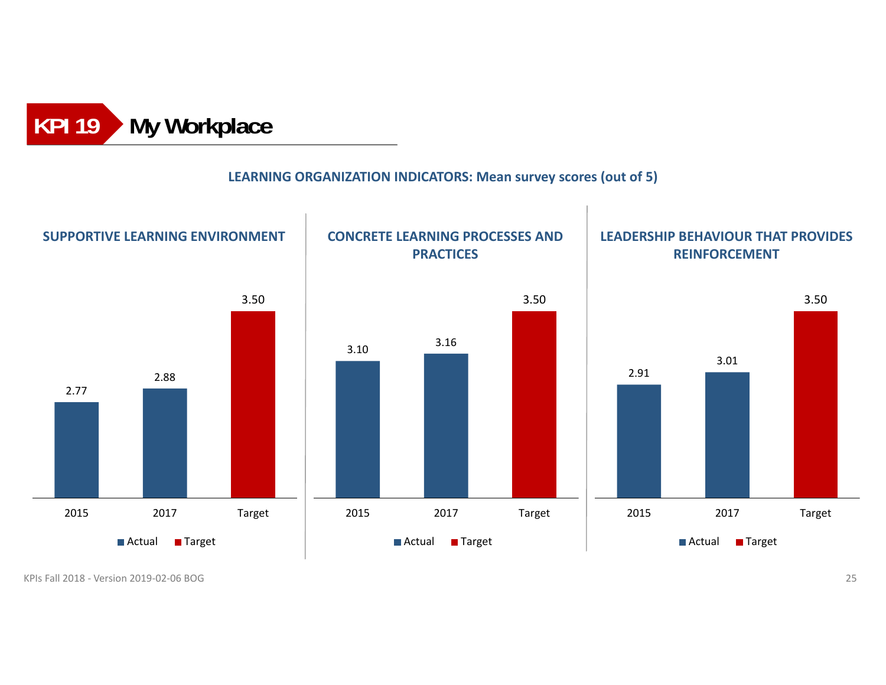

### **LEARNING ORGANIZATION INDICATORS: Mean survey scores (out of 5)**

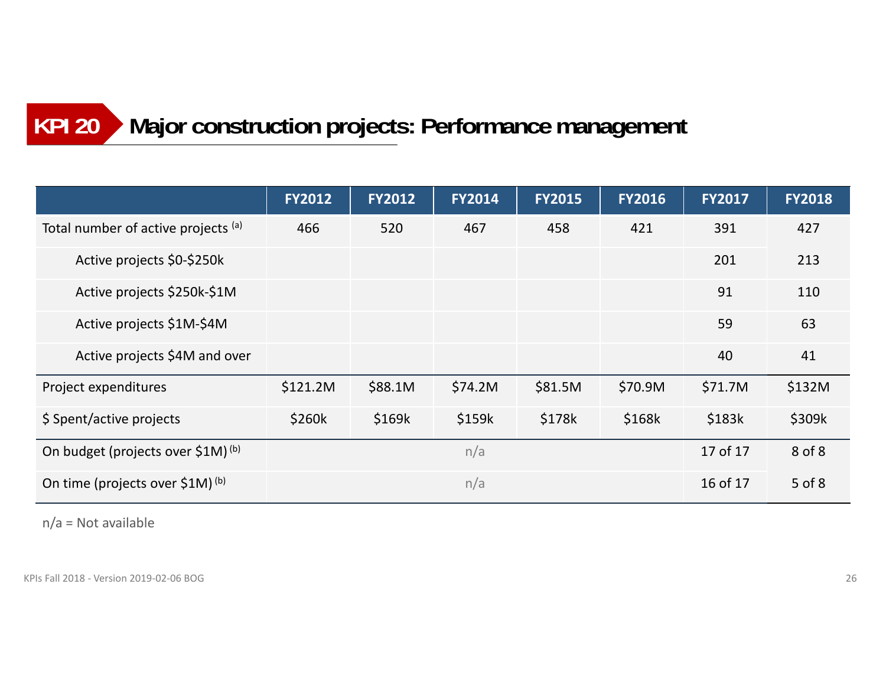### **Major construction projects: Performance management KPI 20**

|                                               | <b>FY2012</b> | <b>FY2012</b> | <b>FY2014</b> | <b>FY2015</b> | <b>FY2016</b> | <b>FY2017</b> | <b>FY2018</b> |
|-----------------------------------------------|---------------|---------------|---------------|---------------|---------------|---------------|---------------|
| Total number of active projects (a)           | 466           | 520           | 467           | 458           | 421           | 391           | 427           |
| Active projects \$0-\$250k                    |               |               |               |               |               | 201           | 213           |
| Active projects \$250k-\$1M                   |               |               |               |               |               | 91            | 110           |
| Active projects \$1M-\$4M                     |               |               |               |               |               | 59            | 63            |
| Active projects \$4M and over                 |               |               |               |               |               | 40            | 41            |
| Project expenditures                          | \$121.2M      | \$88.1M       | \$74.2M       | \$81.5M       | \$70.9M       | \$71.7M       | \$132M        |
| \$ Spent/active projects                      | \$260k        | \$169k        | \$159k        | \$178k        | \$168k        | \$183k        | \$309k        |
| On budget (projects over \$1M) <sup>(b)</sup> | n/a           |               |               |               |               | 17 of 17      | 8 of 8        |
| On time (projects over \$1M) (b)              | n/a           |               |               |               |               | 16 of 17      | $5$ of $8$    |

n/a = Not available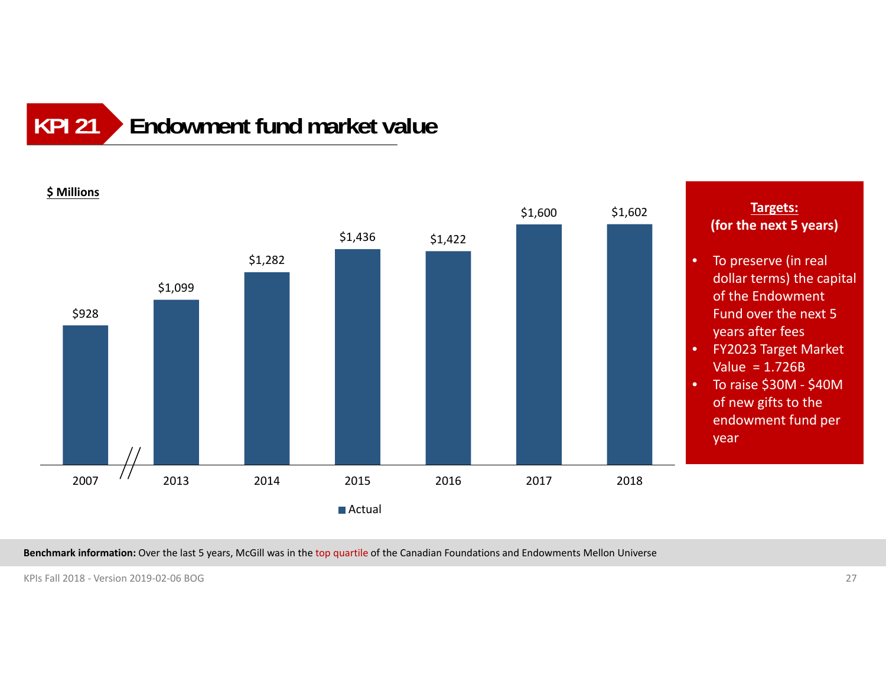### **Endowment fund market valueKPI 21**



**Benchmark information:** Over the last 5 years, McGill was in the top quartile of the Canadian Foundations and Endowments Mellon Universe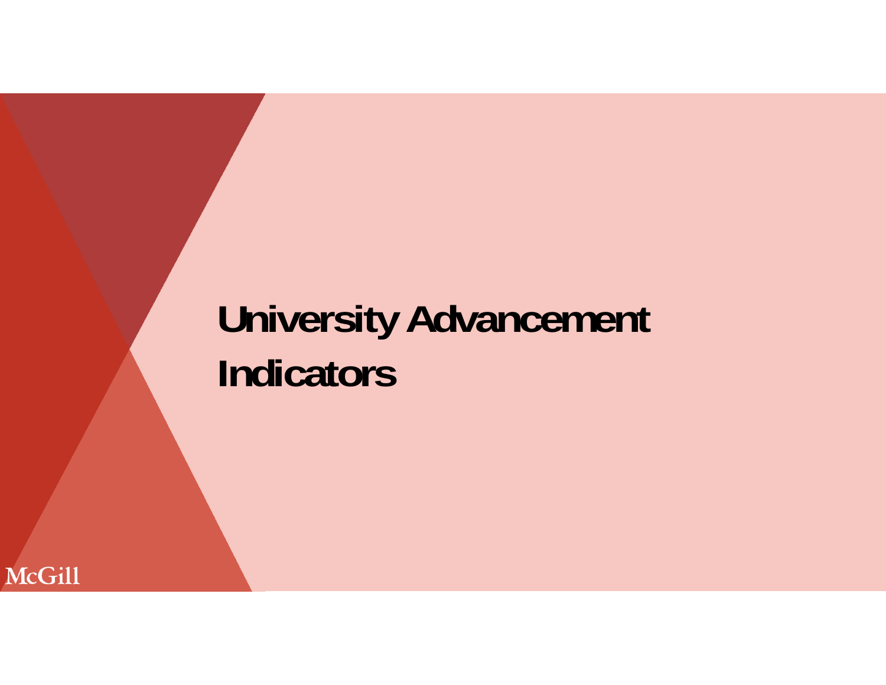# **University Advancement Indicators**

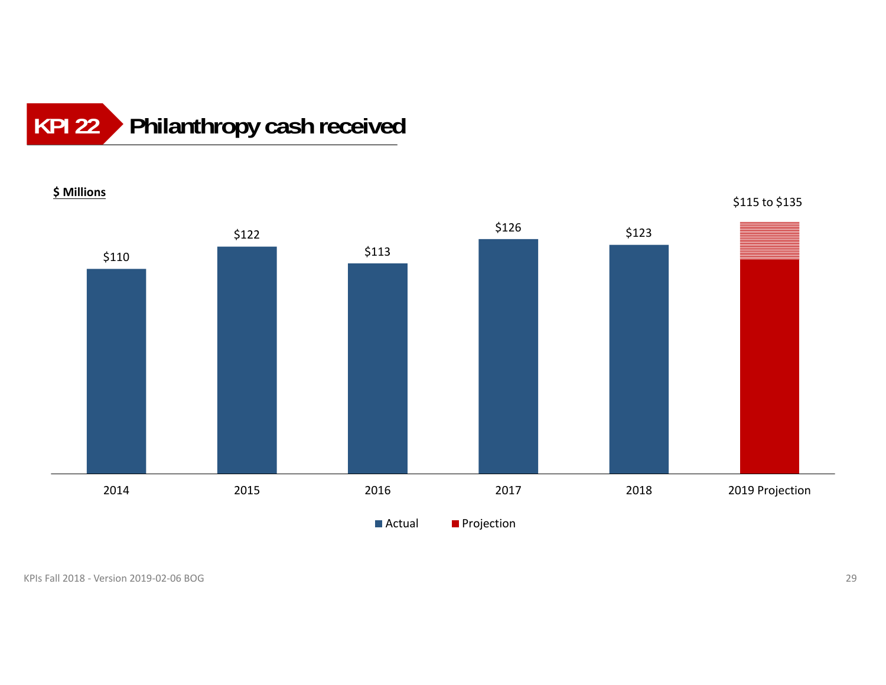### **Philanthropy cash received KPI 22**

**\$ Millions**

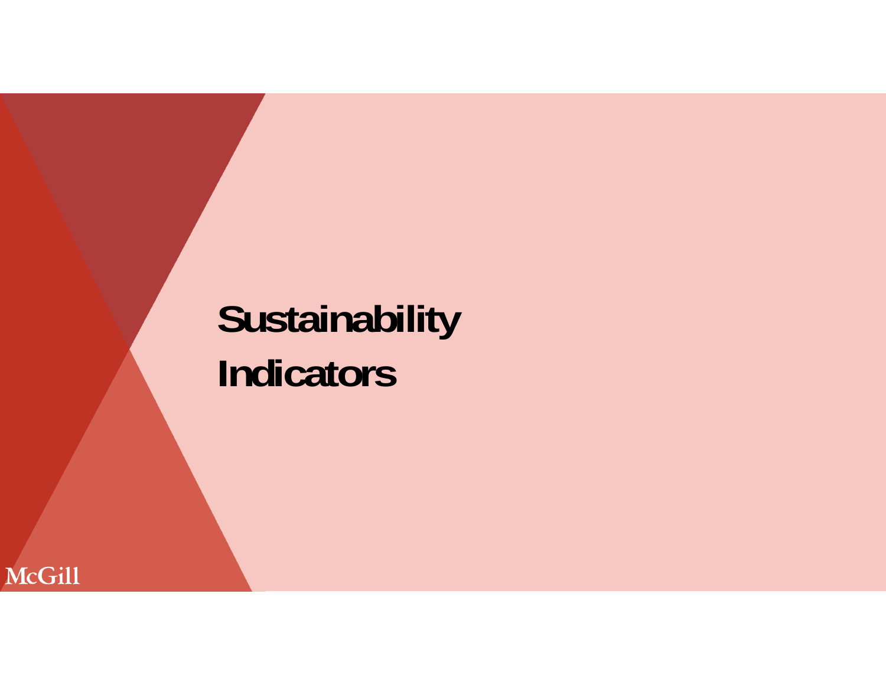# **Sustainability Indicators**

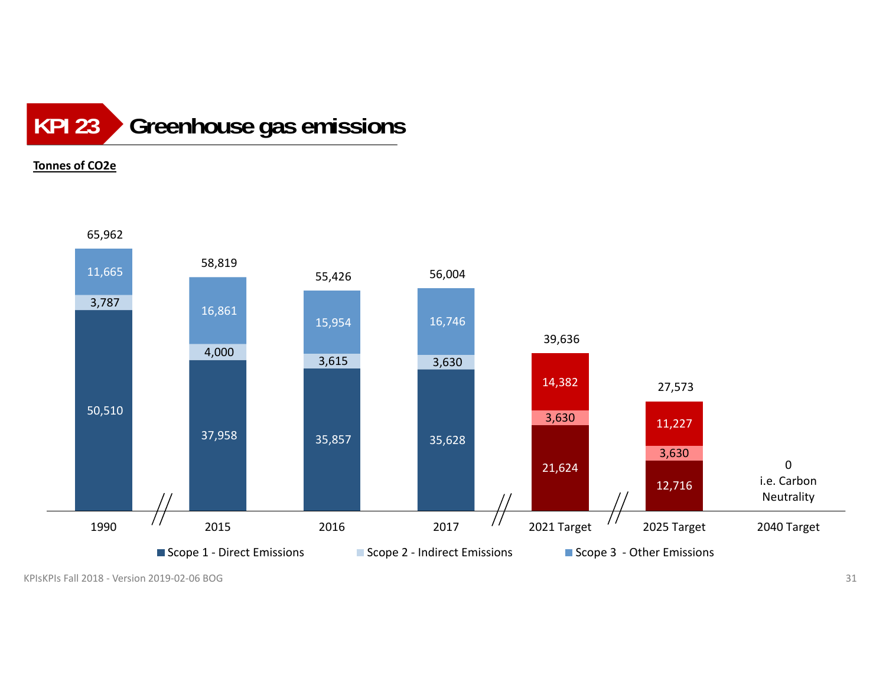### **Greenhouse gas emissions KPI 23**

### **Tonnes of CO2e**



KPIsKPIs Fall 2018 ‐ Version 2019‐02‐06 BOGG and the contract of  $\sim$  31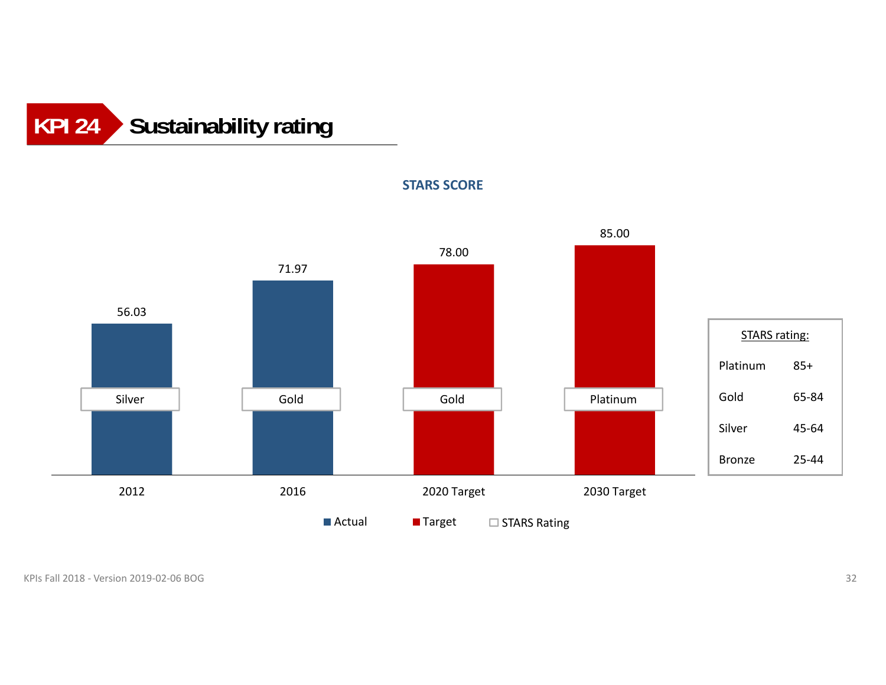## **Sustainability rating KPI 24**



**STARS SCORE**